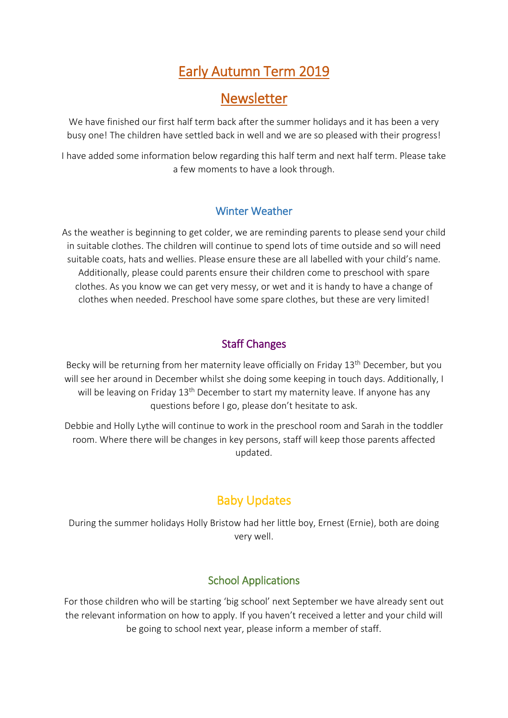# Early Autumn Term 2019

## Newsletter

We have finished our first half term back after the summer holidays and it has been a very busy one! The children have settled back in well and we are so pleased with their progress!

I have added some information below regarding this half term and next half term. Please take a few moments to have a look through.

#### Winter Weather

As the weather is beginning to get colder, we are reminding parents to please send your child in suitable clothes. The children will continue to spend lots of time outside and so will need suitable coats, hats and wellies. Please ensure these are all labelled with your child's name. Additionally, please could parents ensure their children come to preschool with spare clothes. As you know we can get very messy, or wet and it is handy to have a change of clothes when needed. Preschool have some spare clothes, but these are very limited!

## Staff Changes

Becky will be returning from her maternity leave officially on Friday 13<sup>th</sup> December, but you will see her around in December whilst she doing some keeping in touch days. Additionally, I will be leaving on Friday 13<sup>th</sup> December to start my maternity leave. If anyone has any questions before I go, please don't hesitate to ask.

Debbie and Holly Lythe will continue to work in the preschool room and Sarah in the toddler room. Where there will be changes in key persons, staff will keep those parents affected updated.

## Baby Updates

During the summer holidays Holly Bristow had her little boy, Ernest (Ernie), both are doing very well.

## School Applications

For those children who will be starting 'big school' next September we have already sent out the relevant information on how to apply. If you haven't received a letter and your child will be going to school next year, please inform a member of staff.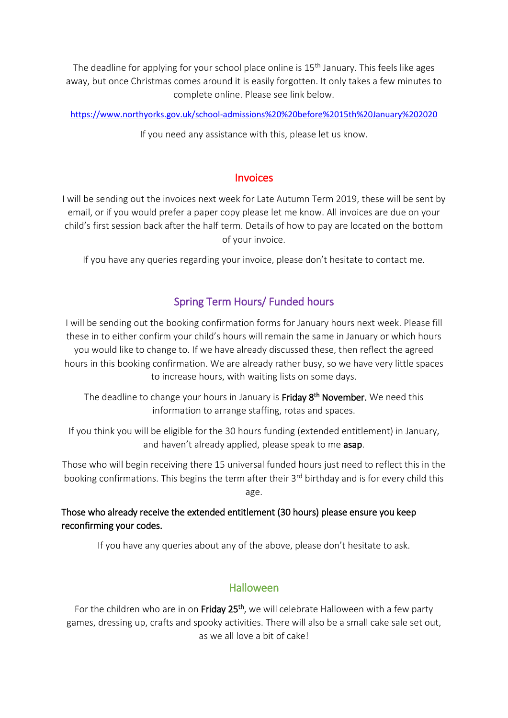The deadline for applying for your school place online is  $15<sup>th</sup>$  January. This feels like ages away, but once Christmas comes around it is easily forgotten. It only takes a few minutes to complete online. Please see link below.

<https://www.northyorks.gov.uk/school-admissions%20%20before%2015th%20January%202020>

If you need any assistance with this, please let us know.

#### Invoices

I will be sending out the invoices next week for Late Autumn Term 2019, these will be sent by email, or if you would prefer a paper copy please let me know. All invoices are due on your child's first session back after the half term. Details of how to pay are located on the bottom of your invoice.

If you have any queries regarding your invoice, please don't hesitate to contact me.

### Spring Term Hours/ Funded hours

I will be sending out the booking confirmation forms for January hours next week. Please fill these in to either confirm your child's hours will remain the same in January or which hours you would like to change to. If we have already discussed these, then reflect the agreed hours in this booking confirmation. We are already rather busy, so we have very little spaces to increase hours, with waiting lists on some days.

The deadline to change your hours in January is Friday 8<sup>th</sup> November. We need this information to arrange staffing, rotas and spaces.

If you think you will be eligible for the 30 hours funding (extended entitlement) in January, and haven't already applied, please speak to me asap.

Those who will begin receiving there 15 universal funded hours just need to reflect this in the booking confirmations. This begins the term after their 3<sup>rd</sup> birthday and is for every child this age.

Those who already receive the extended entitlement (30 hours) please ensure you keep reconfirming your codes.

If you have any queries about any of the above, please don't hesitate to ask.

#### Halloween

For the children who are in on Friday 25<sup>th</sup>, we will celebrate Halloween with a few party games, dressing up, crafts and spooky activities. There will also be a small cake sale set out, as we all love a bit of cake!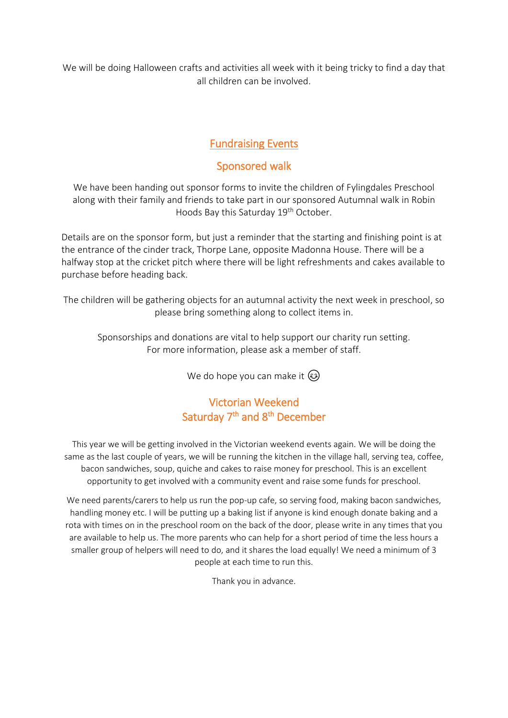We will be doing Halloween crafts and activities all week with it being tricky to find a day that all children can be involved.

## Fundraising Events

#### Sponsored walk

We have been handing out sponsor forms to invite the children of Fylingdales Preschool along with their family and friends to take part in our sponsored Autumnal walk in Robin Hoods Bay this Saturday 19<sup>th</sup> October.

Details are on the sponsor form, but just a reminder that the starting and finishing point is at the entrance of the cinder track, Thorpe Lane, opposite Madonna House. There will be a halfway stop at the cricket pitch where there will be light refreshments and cakes available to purchase before heading back.

The children will be gathering objects for an autumnal activity the next week in preschool, so please bring something along to collect items in.

Sponsorships and donations are vital to help support our charity run setting. For more information, please ask a member of staff.

We do hope you can make it  $\circled{e}$ 

## Victorian Weekend Saturday 7<sup>th</sup> and 8<sup>th</sup> December

This year we will be getting involved in the Victorian weekend events again. We will be doing the same as the last couple of years, we will be running the kitchen in the village hall, serving tea, coffee, bacon sandwiches, soup, quiche and cakes to raise money for preschool. This is an excellent opportunity to get involved with a community event and raise some funds for preschool.

We need parents/carers to help us run the pop-up cafe, so serving food, making bacon sandwiches, handling money etc. I will be putting up a baking list if anyone is kind enough donate baking and a rota with times on in the preschool room on the back of the door, please write in any times that you are available to help us. The more parents who can help for a short period of time the less hours a smaller group of helpers will need to do, and it shares the load equally! We need a minimum of 3 people at each time to run this.

Thank you in advance.